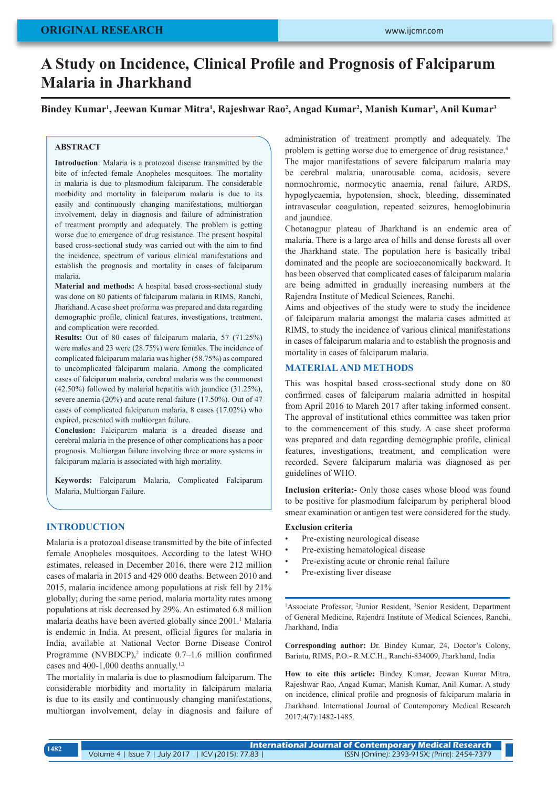# **A Study on Incidence, Clinical Profile and Prognosis of Falciparum Malaria in Jharkhand**

**Bindey Kumar<sup>1</sup> , Jeewan Kumar Mitra<sup>1</sup> , Rajeshwar Rao<sup>2</sup> , Angad Kumar<sup>2</sup> , Manish Kumar<sup>3</sup> , Anil Kumar<sup>3</sup>**

#### **ABSTRACT**

**Introduction**: Malaria is a protozoal disease transmitted by the bite of infected female Anopheles mosquitoes. The mortality in malaria is due to plasmodium falciparum. The considerable morbidity and mortality in falciparum malaria is due to its easily and continuously changing manifestations, multiorgan involvement, delay in diagnosis and failure of administration of treatment promptly and adequately. The problem is getting worse due to emergence of drug resistance. The present hospital based cross-sectional study was carried out with the aim to find the incidence, spectrum of various clinical manifestations and establish the prognosis and mortality in cases of falciparum malaria.

**Material and methods:** A hospital based cross-sectional study was done on 80 patients of falciparum malaria in RIMS, Ranchi, Jharkhand. A case sheet proforma was prepared and data regarding demographic profile, clinical features, investigations, treatment, and complication were recorded.

**Results:** Out of 80 cases of falciparum malaria, 57 (71.25%) were males and 23 were (28.75%) were females. The incidence of complicated falciparum malaria was higher (58.75%) as compared to uncomplicated falciparum malaria. Among the complicated cases of falciparum malaria, cerebral malaria was the commonest (42.50%) followed by malarial hepatitis with jaundice (31.25%), severe anemia (20%) and acute renal failure (17.50%). Out of 47 cases of complicated falciparum malaria, 8 cases (17.02%) who expired, presented with multiorgan failure.

**Conclusion:** Falciparum malaria is a dreaded disease and cerebral malaria in the presence of other complications has a poor prognosis. Multiorgan failure involving three or more systems in falciparum malaria is associated with high mortality.

**Keywords:** Falciparum Malaria, Complicated Falciparum Malaria, Multiorgan Failure.

# **INTRODUCTION**

Malaria is a protozoal disease transmitted by the bite of infected female Anopheles mosquitoes. According to the latest WHO estimates, released in December 2016, there were 212 million cases of malaria in 2015 and 429 000 deaths. Between 2010 and 2015, malaria incidence among populations at risk fell by 21% globally; during the same period, malaria mortality rates among populations at risk decreased by 29%. An estimated 6.8 million malaria deaths have been averted globally since 2001.<sup>1</sup> Malaria is endemic in India. At present, official figures for malaria in India, available at National Vector Borne Disease Control Programme (NVBDCP),<sup>2</sup> indicate  $0.7-1.6$  million confirmed cases and 400-1,000 deaths annually.<sup>1,3</sup>

The mortality in malaria is due to plasmodium falciparum. The considerable morbidity and mortality in falciparum malaria is due to its easily and continuously changing manifestations, multiorgan involvement, delay in diagnosis and failure of administration of treatment promptly and adequately. The problem is getting worse due to emergence of drug resistance.4 The major manifestations of severe falciparum malaria may be cerebral malaria, unarousable coma, acidosis, severe normochromic, normocytic anaemia, renal failure, ARDS, hypoglycaemia, hypotension, shock, bleeding, disseminated intravascular coagulation, repeated seizures, hemoglobinuria and jaundice.

Chotanagpur plateau of Jharkhand is an endemic area of malaria. There is a large area of hills and dense forests all over the Jharkhand state. The population here is basically tribal dominated and the people are socioeconomically backward. It has been observed that complicated cases of falciparum malaria are being admitted in gradually increasing numbers at the Rajendra Institute of Medical Sciences, Ranchi.

Aims and objectives of the study were to study the incidence of falciparum malaria amongst the malaria cases admitted at RIMS, to study the incidence of various clinical manifestations in cases of falciparum malaria and to establish the prognosis and mortality in cases of falciparum malaria.

## **MATERIAL AND METHODS**

This was hospital based cross-sectional study done on 80 confirmed cases of falciparum malaria admitted in hospital from April 2016 to March 2017 after taking informed consent. The approval of institutional ethics committee was taken prior to the commencement of this study. A case sheet proforma was prepared and data regarding demographic profile, clinical features, investigations, treatment, and complication were recorded. Severe falciparum malaria was diagnosed as per guidelines of WHO.

**Inclusion criteria:-** Only those cases whose blood was found to be positive for plasmodium falciparum by peripheral blood smear examination or antigen test were considered for the study.

### **Exclusion criteria**

- Pre-existing neurological disease
- Pre-existing hematological disease
- Pre-existing acute or chronic renal failure
- Pre-existing liver disease

<sup>1</sup>Associate Professor, <sup>2</sup>Junior Resident, <sup>3</sup>Senior Resident, Department of General Medicine, Rajendra Institute of Medical Sciences, Ranchi, Jharkhand, India

**Corresponding author:** Dr. Bindey Kumar, 24, Doctor's Colony, Bariatu, RIMS, P.O.- R.M.C.H., Ranchi-834009, Jharkhand, India

**How to cite this article:** Bindey Kumar, Jeewan Kumar Mitra, Rajeshwar Rao, Angad Kumar, Manish Kumar, Anil Kumar. A study on incidence, clinical profile and prognosis of falciparum malaria in Jharkhand. International Journal of Contemporary Medical Research 2017;4(7):1482-1485.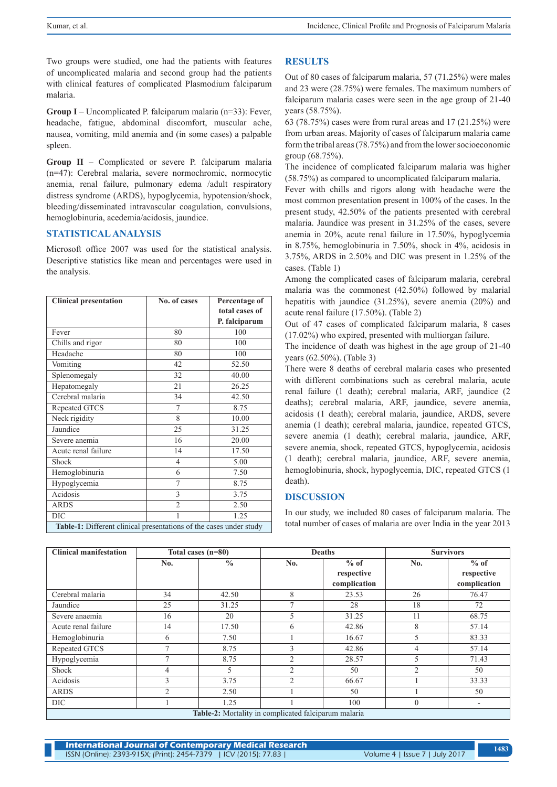Two groups were studied, one had the patients with features of uncomplicated malaria and second group had the patients with clinical features of complicated Plasmodium falciparum malaria.

**Group I** – Uncomplicated P. falciparum malaria (n=33): Fever, headache, fatigue, abdominal discomfort, muscular ache, nausea, vomiting, mild anemia and (in some cases) a palpable spleen.

**Group II** – Complicated or severe P. falciparum malaria (n=47): Cerebral malaria, severe normochromic, normocytic anemia, renal failure, pulmonary edema /adult respiratory distress syndrome (ARDS), hypoglycemia, hypotension/shock, bleeding/disseminated intravascular coagulation, convulsions, hemoglobinuria, acedemia/acidosis, jaundice.

# **STATISTICAL ANALYSIS**

Microsoft office 2007 was used for the statistical analysis. Descriptive statistics like mean and percentages were used in the analysis.

| <b>Clinical presentation</b>                                       | No. of cases   | Percentage of  |  |  |  |
|--------------------------------------------------------------------|----------------|----------------|--|--|--|
|                                                                    |                | total cases of |  |  |  |
|                                                                    |                | P. falciparum  |  |  |  |
| Fever                                                              | 80             | 100            |  |  |  |
| Chills and rigor                                                   | 80             | 100            |  |  |  |
| Headache                                                           | 80             | 100            |  |  |  |
| Vomiting                                                           | 42             | 52.50          |  |  |  |
| Splenomegaly                                                       | 32             | 40.00          |  |  |  |
| Hepatomegaly                                                       | 21             | 26.25          |  |  |  |
| Cerebral malaria                                                   | 34             | 42.50          |  |  |  |
| Repeated GTCS                                                      | 7              | 8.75           |  |  |  |
| Neck rigidity                                                      | 8              | 10.00          |  |  |  |
| Jaundice                                                           | 25             | 31.25          |  |  |  |
| Severe anemia                                                      | 16             | 20.00          |  |  |  |
| Acute renal failure                                                | 14             | 17.50          |  |  |  |
| Shock                                                              | 4              | 5.00           |  |  |  |
| Hemoglobinuria                                                     | 6              | 7.50           |  |  |  |
| Hypoglycemia                                                       | 7              | 8.75           |  |  |  |
| Acidosis                                                           | 3              | 3.75           |  |  |  |
| <b>ARDS</b>                                                        | $\mathfrak{D}$ | 2.50           |  |  |  |
| DIC                                                                |                | 1.25           |  |  |  |
| Table-1: Different clinical presentations of the cases under study |                |                |  |  |  |

# **RESULTS**

Out of 80 cases of falciparum malaria, 57 (71.25%) were males and 23 were (28.75%) were females. The maximum numbers of falciparum malaria cases were seen in the age group of 21-40 years (58.75%).

63 (78.75%) cases were from rural areas and 17 (21.25%) were from urban areas. Majority of cases of falciparum malaria came form the tribal areas (78.75%) and from the lower socioeconomic group (68.75%).

The incidence of complicated falciparum malaria was higher (58.75%) as compared to uncomplicated falciparum malaria.

Fever with chills and rigors along with headache were the most common presentation present in 100% of the cases. In the present study, 42.50% of the patients presented with cerebral malaria. Jaundice was present in 31.25% of the cases, severe anemia in 20%, acute renal failure in 17.50%, hypoglycemia in 8.75%, hemoglobinuria in 7.50%, shock in 4%, acidosis in 3.75%, ARDS in 2.50% and DIC was present in 1.25% of the cases. (Table 1)

Among the complicated cases of falciparum malaria, cerebral malaria was the commonest (42.50%) followed by malarial hepatitis with jaundice (31.25%), severe anemia (20%) and acute renal failure (17.50%). (Table 2)

Out of 47 cases of complicated falciparum malaria, 8 cases (17.02%) who expired, presented with multiorgan failure.

The incidence of death was highest in the age group of 21-40 years (62.50%). (Table 3)

There were 8 deaths of cerebral malaria cases who presented with different combinations such as cerebral malaria, acute renal failure (1 death); cerebral malaria, ARF, jaundice (2 deaths); cerebral malaria, ARF, jaundice, severe anemia, acidosis (1 death); cerebral malaria, jaundice, ARDS, severe anemia (1 death); cerebral malaria, jaundice, repeated GTCS, severe anemia (1 death); cerebral malaria, jaundice, ARF, severe anemia, shock, repeated GTCS, hypoglycemia, acidosis (1 death); cerebral malaria, jaundice, ARF, severe anemia, hemoglobinuria, shock, hypoglycemia, DIC, repeated GTCS (1 death).

## **DISCUSSION**

In our study, we included 80 cases of falciparum malaria. The total number of cases of malaria are over India in the year 2013

| <b>Clinical manifestation</b>                               | Total cases (n=80) |               | <b>Deaths</b>  |              | <b>Survivors</b> |              |  |
|-------------------------------------------------------------|--------------------|---------------|----------------|--------------|------------------|--------------|--|
|                                                             | No.                | $\frac{0}{0}$ | No.            | $%$ of       | No.              | $%$ of       |  |
|                                                             |                    |               |                | respective   |                  | respective   |  |
|                                                             |                    |               |                | complication |                  | complication |  |
| Cerebral malaria                                            | 34                 | 42.50         | 8              | 23.53        | 26               | 76.47        |  |
| Jaundice                                                    | 25                 | 31.25         | $\overline{ }$ | 28           | 18               | 72           |  |
| Severe anaemia                                              | 16                 | 20            | 5              | 31.25        | 11               | 68.75        |  |
| Acute renal failure                                         | 14                 | 17.50         | 6              | 42.86        | 8                | 57.14        |  |
| Hemoglobinuria                                              | 6                  | 7.50          |                | 16.67        | 5                | 83.33        |  |
| Repeated GTCS                                               |                    | 8.75          | 3              | 42.86        | 4                | 57.14        |  |
| Hypoglycemia                                                |                    | 8.75          | $\overline{2}$ | 28.57        | 5                | 71.43        |  |
| Shock                                                       | 4                  | 5             | $\overline{2}$ | 50           | $\overline{2}$   | 50           |  |
| Acidosis                                                    | 3                  | 3.75          | $\mathfrak{D}$ | 66.67        |                  | 33.33        |  |
| <b>ARDS</b>                                                 | $\overline{c}$     | 2.50          |                | 50           |                  | 50           |  |
| DIC                                                         |                    | 1.25          |                | 100          | $\mathbf{0}$     | -            |  |
| <b>Table-2:</b> Mortality in complicated falciparum malaria |                    |               |                |              |                  |              |  |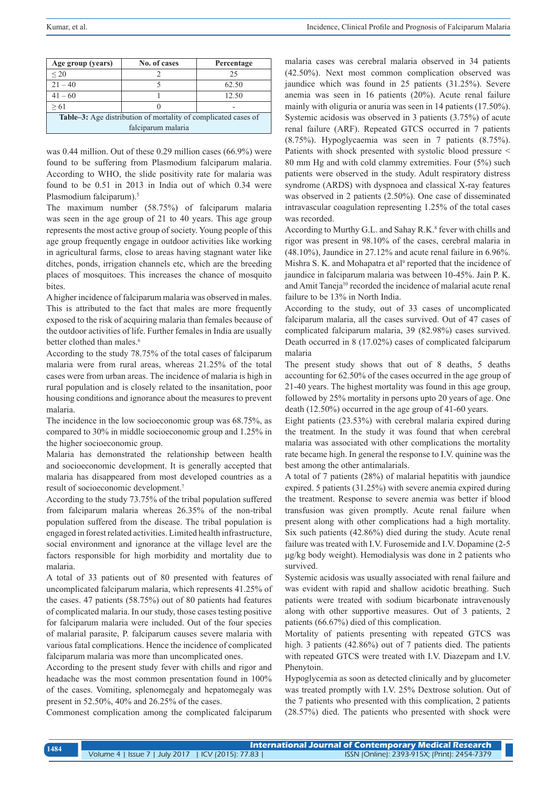| Age group (years)                                                     | No. of cases | Percentage |  |  |  |
|-----------------------------------------------------------------------|--------------|------------|--|--|--|
| $\leq$ 20                                                             |              | 25         |  |  |  |
| $21 - 40$                                                             |              | 62.50      |  |  |  |
| $41 - 60$                                                             |              | 12.50      |  |  |  |
| > 61                                                                  |              |            |  |  |  |
| <b>Table–3:</b> Age distribution of mortality of complicated cases of |              |            |  |  |  |
| falciparum malaria                                                    |              |            |  |  |  |

was 0.44 million. Out of these 0.29 million cases (66.9%) were found to be suffering from Plasmodium falciparum malaria. According to WHO, the slide positivity rate for malaria was found to be 0.51 in 2013 in India out of which 0.34 were Plasmodium falciparum).<sup>5</sup>

The maximum number (58.75%) of falciparum malaria was seen in the age group of 21 to 40 years. This age group represents the most active group of society. Young people of this age group frequently engage in outdoor activities like working in agricultural farms, close to areas having stagnant water like ditches, ponds, irrigation channels etc, which are the breeding places of mosquitoes. This increases the chance of mosquito **bites** 

A higher incidence of falciparum malaria was observed in males. This is attributed to the fact that males are more frequently exposed to the risk of acquiring malaria than females because of the outdoor activities of life. Further females in India are usually better clothed than males.<sup>6</sup>

According to the study 78.75% of the total cases of falciparum malaria were from rural areas, whereas 21.25% of the total cases were from urban areas. The incidence of malaria is high in rural population and is closely related to the insanitation, poor housing conditions and ignorance about the measures to prevent malaria.

The incidence in the low socioeconomic group was 68.75%, as compared to 30% in middle socioeconomic group and 1.25% in the higher socioeconomic group.

Malaria has demonstrated the relationship between health and socioeconomic development. It is generally accepted that malaria has disappeared from most developed countries as a result of socioeconomic development.7

According to the study 73.75% of the tribal population suffered from falciparum malaria whereas 26.35% of the non-tribal population suffered from the disease. The tribal population is engaged in forest related activities. Limited health infrastructure, social environment and ignorance at the village level are the factors responsible for high morbidity and mortality due to malaria.

A total of 33 patients out of 80 presented with features of uncomplicated falciparum malaria, which represents 41.25% of the cases. 47 patients (58.75%) out of 80 patients had features of complicated malaria. In our study, those cases testing positive for falciparum malaria were included. Out of the four species of malarial parasite, P. falciparum causes severe malaria with various fatal complications. Hence the incidence of complicated falciparum malaria was more than uncomplicated ones.

According to the present study fever with chills and rigor and headache was the most common presentation found in 100% of the cases. Vomiting, splenomegaly and hepatomegaly was present in 52.50%, 40% and 26.25% of the cases.

Commonest complication among the complicated falciparum

malaria cases was cerebral malaria observed in 34 patients (42.50%). Next most common complication observed was jaundice which was found in 25 patients (31.25%). Severe anemia was seen in 16 patients (20%). Acute renal failure mainly with oliguria or anuria was seen in 14 patients (17.50%). Systemic acidosis was observed in 3 patients (3.75%) of acute renal failure (ARF). Repeated GTCS occurred in 7 patients (8.75%). Hypoglycaemia was seen in 7 patients (8.75%). Patients with shock presented with systolic blood pressure < 80 mm Hg and with cold clammy extremities. Four (5%) such patients were observed in the study. Adult respiratory distress syndrome (ARDS) with dyspnoea and classical X-ray features was observed in 2 patients (2.50%). One case of disseminated intravascular coagulation representing 1.25% of the total cases was recorded.

According to Murthy G.L. and Sahay R.K.<sup>8</sup> fever with chills and rigor was present in 98.10% of the cases, cerebral malaria in (48.10%), Jaundice in 27.12% and acute renal failure in 6.96%. Mishra S. K. and Mohapatra et al<sup>9</sup> reported that the incidence of jaundice in falciparum malaria was between 10-45%. Jain P. K. and Amit Taneja10 recorded the incidence of malarial acute renal failure to be 13% in North India.

According to the study, out of 33 cases of uncomplicated falciparum malaria, all the cases survived. Out of 47 cases of complicated falciparum malaria, 39 (82.98%) cases survived. Death occurred in 8 (17.02%) cases of complicated falciparum malaria

The present study shows that out of 8 deaths, 5 deaths accounting for 62.50% of the cases occurred in the age group of 21-40 years. The highest mortality was found in this age group, followed by 25% mortality in persons upto 20 years of age. One death (12.50%) occurred in the age group of 41-60 years.

Eight patients (23.53%) with cerebral malaria expired during the treatment. In the study it was found that when cerebral malaria was associated with other complications the mortality rate became high. In general the response to I.V. quinine was the best among the other antimalarials.

A total of 7 patients (28%) of malarial hepatitis with jaundice expired. 5 patients (31.25%) with severe anemia expired during the treatment. Response to severe anemia was better if blood transfusion was given promptly. Acute renal failure when present along with other complications had a high mortality. Six such patients (42.86%) died during the study. Acute renal failure was treated with I.V. Furosemide and I.V. Dopamine (2-5 μg/kg body weight). Hemodialysis was done in 2 patients who survived.

Systemic acidosis was usually associated with renal failure and was evident with rapid and shallow acidotic breathing. Such patients were treated with sodium bicarbonate intravenously along with other supportive measures. Out of 3 patients, 2 patients (66.67%) died of this complication.

Mortality of patients presenting with repeated GTCS was high. 3 patients (42.86%) out of 7 patients died. The patients with repeated GTCS were treated with I.V. Diazepam and I.V. Phenytoin.

Hypoglycemia as soon as detected clinically and by glucometer was treated promptly with I.V. 25% Dextrose solution. Out of the 7 patients who presented with this complication, 2 patients (28.57%) died. The patients who presented with shock were